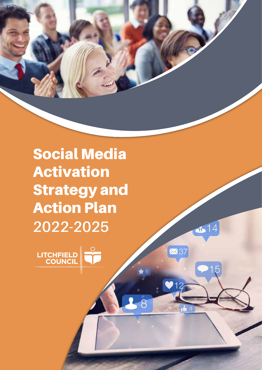Social Media Activation Strategy and Action Plan **2022-2025**

 $14$ 

■37

 $\overline{\phantom{1}8}$ 

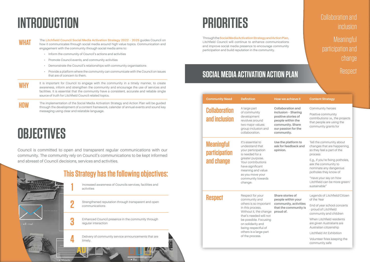#### **Social Media Activation Action Plan**

|  | <b>Community Need</b>                                   | <b>Definition</b>                                                                                                                                                                                                                 | How we achieve it                                                                                                                                    | <b>Content Strategy</b>                                                                                                                                                               |
|--|---------------------------------------------------------|-----------------------------------------------------------------------------------------------------------------------------------------------------------------------------------------------------------------------------------|------------------------------------------------------------------------------------------------------------------------------------------------------|---------------------------------------------------------------------------------------------------------------------------------------------------------------------------------------|
|  | <b>Collaboration</b><br>and inclusion                   | A large part<br>of community<br>development<br>revolves around<br>two major values:<br>group inclusion and<br>collaboration.                                                                                                      | <b>Collaboration and</b><br>inclusion - Sharing<br>positive stories of<br>people within the<br>community. Share<br>our passion for the<br>community. | Community heroe<br>Positive communi:<br>contributions i.e., t<br>that people are us<br>community grants                                                                               |
|  | <b>Meaningful</b><br><b>participation</b><br>and change | It's essential to<br>understand that<br>your participation<br>is needed for a<br>greater purpose.<br>Your contributions<br>have significant<br>meaning and value<br>as you move your                                              | Use the platform to<br>ask for feedback and<br>opinion.                                                                                              | Tell the communit<br>changes that are h<br>so they feel a part<br>process<br>E.g., if you're fixing<br>ask the communit<br>nominate any dan<br>potholes they kno<br>"Have your say on |
|  |                                                         | community towards<br>change.<br>Respect for your                                                                                                                                                                                  | Share stories of                                                                                                                                     | Litchfield can be n<br>sustainable"<br>Legends of Litchfi                                                                                                                             |
|  | <b>Respect</b>                                          | community and<br>others is so important<br>in this process.<br>Without it, the change<br>that's needed will not<br>be possible. Focusing<br>on solidarity and<br>being respectful of<br>others is a large part<br>of the process. | people within your<br>community, activities<br>that the community is<br>proud of.                                                                    | of the Year<br>End of year schoo<br>- proud of Litchfiel<br>community and ch                                                                                                          |
|  |                                                         |                                                                                                                                                                                                                                   |                                                                                                                                                      | When Litchfield re<br>are given Australia<br>Australian citizens                                                                                                                      |
|  |                                                         |                                                                                                                                                                                                                                   |                                                                                                                                                      | Litchfield Art Exhil                                                                                                                                                                  |
|  |                                                         |                                                                                                                                                                                                                                   |                                                                                                                                                      | Volunteer firies ke<br>community safe                                                                                                                                                 |

| How we achieve it                                                                                                                                    | <b>Content Strategy</b>                                                                                                                |  |
|------------------------------------------------------------------------------------------------------------------------------------------------------|----------------------------------------------------------------------------------------------------------------------------------------|--|
| <b>Collaboration and</b><br>inclusion - Sharing<br>positive stories of<br>people within the<br>community. Share<br>our passion for the<br>community. | <b>Community heroes</b><br>Positive community<br>contributions i.e., the projects<br>that people are using the<br>community grants for |  |
| Use the platform to<br>ask for feedback and<br>opinion.                                                                                              | Tell the community about<br>changes that are happening,<br>so they feel a part of the<br>process                                       |  |
|                                                                                                                                                      | E.g., if you're fixing potholes,<br>ask the community to<br>nominate any dangerous<br>potholes they know of                            |  |
|                                                                                                                                                      | "Have your say on how<br>Litchfield can be more green/<br>sustainable"                                                                 |  |
| <b>Share stories of</b><br>people within your                                                                                                        | Legends of Litchfield/Citizen<br>of the Year                                                                                           |  |
| community, activities<br>that the community is<br>proud of.                                                                                          | End of year school concerts<br>- proud of Litchfield<br>community and children                                                         |  |
|                                                                                                                                                      | When Litchfield residents<br>are given Australians are<br>Australian citizenship                                                       |  |
|                                                                                                                                                      | Litchfield Art Exhibition                                                                                                              |  |
|                                                                                                                                                      | Volunteer firies keeping the<br>community safe                                                                                         |  |

WHAT The Litchfield Council Social Media Activation Strategy 2022 - 2025 guides Council on<br>WHAT how it communicates through social media around high value topics. Communication and engagement with the community through social media aims to:

**Meaningful** participation and change

#### **Respect**

# **Introduction**

- • Inform the community of Council's actions and activities
- • Promote Council events, and community activities
- • Demonstrate the Council's relationships with community organisations
- • Provide a platform where the community can communicate with the Council on issues that are of concern to them.
- **WHY** It is important for Council to engage with the community in a timely manner, to create awareness, inform and strengthen the community and encourage the use of services and facilities. It is essential that the community have a consistent, accurate and reliable single source of truth for Litchfield Council related topics.
- **HOW** The implementation of the Social Media Activation Strategy and Action Plan will be guided through the development of a content framework, calendar of annual events and sound key messaging using clear and relatable language.

# **Priorities**

Through the **Social Media Activation Strategy and Action Plan**, Litchfield Council will continue to enhance communications and improve social media presence to encourage community participation and build reputation in the community.

### Collaboration and inclusion



# **Objectives**

Council is committed to open and transparent regular communications with our community. The community rely on Council's communications to be kept informed and abreast of Council decisions, services and activities.